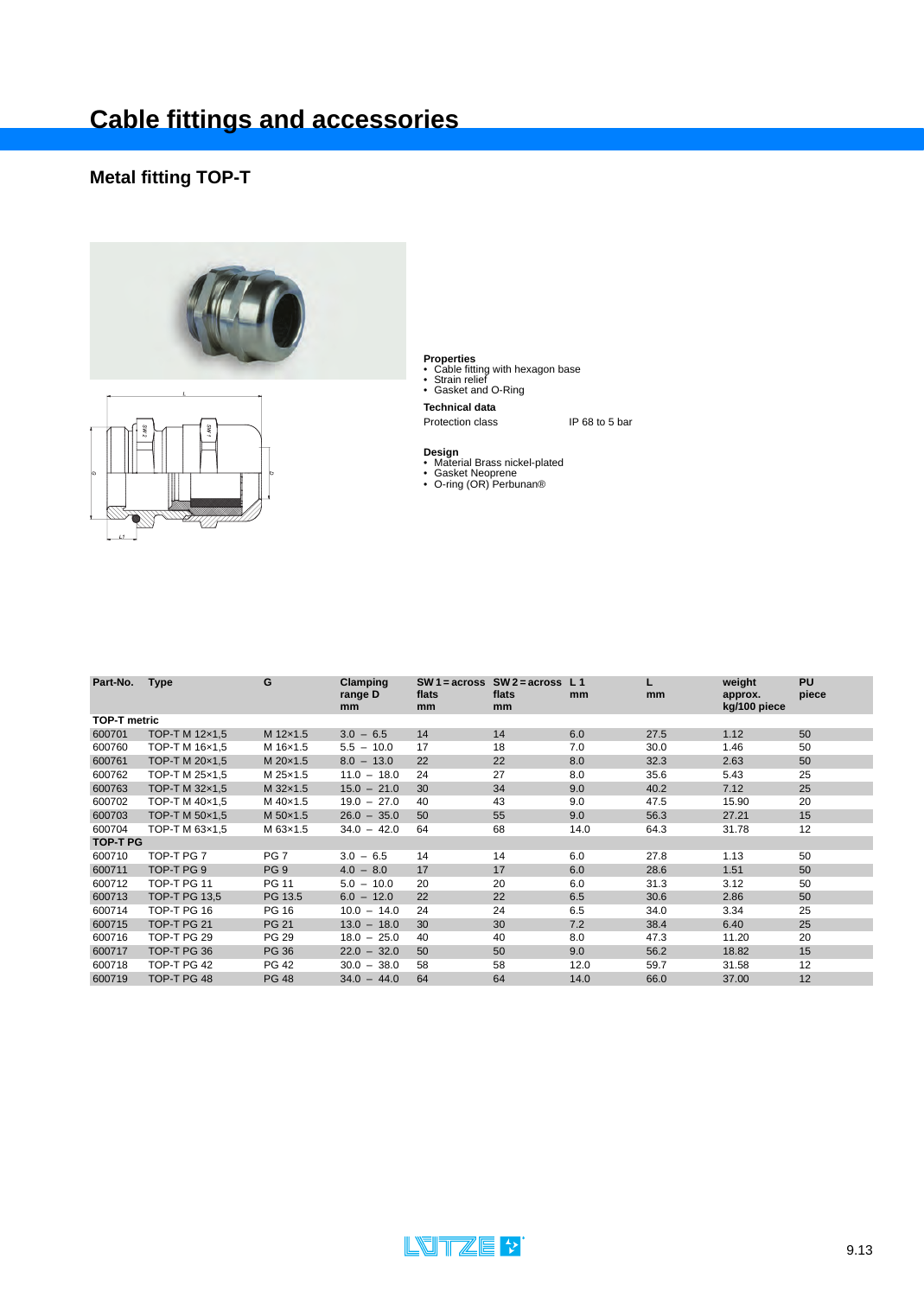### **Metal fitting TOP-T**





- **Properties** Cable fitting with hexagon base Strain relief Gasket and O-Ring
- 
- **Technical data**

- **Design** Material Brass nickel-plated Gasket Neoprene O-ring (OR) Perbunan®
- 

| Part-No.            | <b>Type</b>          | G               | Clamping<br>range D<br>mm | flats<br>mm | $SW1 = \text{across}$ SW 2 = across<br>flats<br>mm | L <sub>1</sub><br>mm | L<br>mm | weight<br>approx.<br>kg/100 piece | <b>PU</b><br>piece |
|---------------------|----------------------|-----------------|---------------------------|-------------|----------------------------------------------------|----------------------|---------|-----------------------------------|--------------------|
| <b>TOP-T metric</b> |                      |                 |                           |             |                                                    |                      |         |                                   |                    |
| 600701              | TOP-T M 12x1,5       | M 12x1.5        | $3.0 - 6.5$               | 14          | 14                                                 | 6.0                  | 27.5    | 1.12                              | 50                 |
| 600760              | TOP-T M 16x1,5       | M 16x1.5        | $5.5 - 10.0$              | 17          | 18                                                 | 7.0                  | 30.0    | 1.46                              | 50                 |
| 600761              | TOP-T M 20×1,5       | M 20×1.5        | $8.0 - 13.0$              | 22          | 22                                                 | 8.0                  | 32.3    | 2.63                              | 50                 |
| 600762              | TOP-T M 25x1.5       | M 25x1.5        | $11.0 - 18.0$             | 24          | 27                                                 | 8.0                  | 35.6    | 5.43                              | 25                 |
| 600763              | TOP-T M 32x1,5       | M 32×1.5        | $15.0 - 21.0$             | 30          | 34                                                 | 9.0                  | 40.2    | 7.12                              | 25                 |
| 600702              | TOP-T M 40×1,5       | M 40×1.5        | $19.0 - 27.0$             | 40          | 43                                                 | 9.0                  | 47.5    | 15.90                             | 20                 |
| 600703              | TOP-T M 50x1,5       | M 50×1.5        | $26.0 - 35.0$             | 50          | 55                                                 | 9.0                  | 56.3    | 27.21                             | 15                 |
| 600704              | TOP-T M 63x1.5       | M 63x1.5        | $34.0 - 42.0$             | 64          | 68                                                 | 14.0                 | 64.3    | 31.78                             | 12                 |
| <b>TOP-T PG</b>     |                      |                 |                           |             |                                                    |                      |         |                                   |                    |
| 600710              | TOP-T PG 7           | PG <sub>7</sub> | $3.0 - 6.5$               | 14          | 14                                                 | 6.0                  | 27.8    | 1.13                              | 50                 |
| 600711              | TOP-T PG 9           | PG <sub>9</sub> | $4.0 - 8.0$               | 17          | 17                                                 | 6.0                  | 28.6    | 1.51                              | 50                 |
| 600712              | TOP-T PG 11          | <b>PG 11</b>    | $5.0 - 10.0$              | 20          | 20                                                 | 6.0                  | 31.3    | 3.12                              | 50                 |
| 600713              | <b>TOP-T PG 13,5</b> | PG 13.5         | $6.0 - 12.0$              | 22          | 22                                                 | 6.5                  | 30.6    | 2.86                              | 50                 |
| 600714              | TOP-T PG 16          | PG 16           | $10.0 - 14.0$             | 24          | 24                                                 | 6.5                  | 34.0    | 3.34                              | 25                 |
| 600715              | TOP-T PG 21          | <b>PG 21</b>    | $13.0 - 18.0$             | 30          | 30                                                 | 7.2                  | 38.4    | 6.40                              | 25                 |
| 600716              | TOP-T PG 29          | PG 29           | $18.0 - 25.0$             | 40          | 40                                                 | 8.0                  | 47.3    | 11.20                             | 20                 |
| 600717              | TOP-T PG 36          | <b>PG 36</b>    | $22.0 - 32.0$             | 50          | 50                                                 | 9.0                  | 56.2    | 18.82                             | 15                 |
| 600718              | TOP-T PG 42          | PG 42           | $30.0 - 38.0$             | 58          | 58                                                 | 12.0                 | 59.7    | 31.58                             | 12                 |
| 600719              | TOP-T PG 48          | <b>PG 48</b>    | $34.0 - 44.0$             | 64          | 64                                                 | 14.0                 | 66.0    | 37.00                             | 12                 |

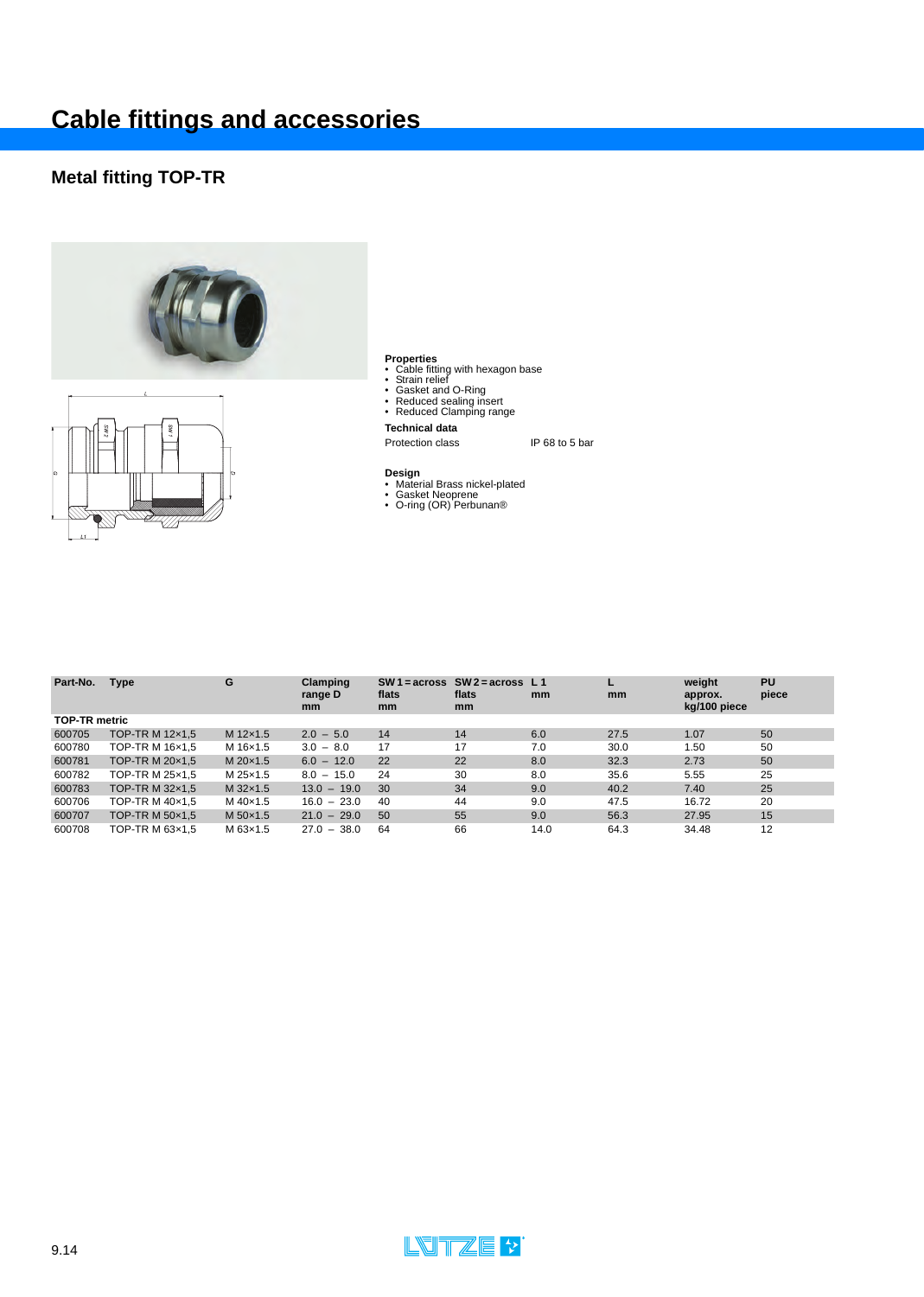### **Metal fitting TOP-TR**





- **Cab**le fitting with hexagon base<br>• Cable fitting with hexagon base<br>• Gasket and O-Ring<br>• Reduced Sealing insert<br>• Reduced Clamping range
- 
- 
- 

### **Technical data**

- **Design**<br>• Material Brass nickel-plated<br>• Gasket Neoprene<br>• O-ring (OR) Perbunan®
- 
- 

| Part-No.             | <b>Type</b>     | G        | Clamping<br>range D<br><sub>mm</sub> | flats<br>mm | SW 1 = $across$ SW 2 = $across$ L 1<br>flats<br><sub>mm</sub> | mm   | mm   | weight<br>approx.<br>kg/100 piece | PU<br>piece |
|----------------------|-----------------|----------|--------------------------------------|-------------|---------------------------------------------------------------|------|------|-----------------------------------|-------------|
| <b>TOP-TR metric</b> |                 |          |                                      |             |                                                               |      |      |                                   |             |
| 600705               | TOP-TR M 12x1,5 | M 12×1.5 | $2.0 - 5.0$                          | 14          | 14                                                            | 6.0  | 27.5 | 1.07                              | 50          |
| 600780               | TOP-TR M 16x1.5 | M 16×1.5 | $3.0 - 8.0$                          | 17          | 17                                                            | 7.0  | 30.0 | 1.50                              | 50          |
| 600781               | TOP-TR M 20x1,5 | M 20×1.5 | $6.0 - 12.0$                         | 22          | 22                                                            | 8.0  | 32.3 | 2.73                              | 50          |
| 600782               | TOP-TR M 25x1.5 | M 25x1.5 | $8.0 - 15.0$                         | 24          | 30                                                            | 8.0  | 35.6 | 5.55                              | 25          |
| 600783               | TOP-TR M 32×1.5 | M 32×1.5 | $13.0 - 19.0$                        | 30          | 34                                                            | 9.0  | 40.2 | 7.40                              | 25          |
| 600706               | TOP-TR M 40×1,5 | M 40×1.5 | $16.0 - 23.0$                        | 40          | 44                                                            | 9.0  | 47.5 | 16.72                             | 20          |
| 600707               | TOP-TR M 50×1.5 | M 50×1.5 | $21.0 - 29.0$                        | 50          | 55                                                            | 9.0  | 56.3 | 27.95                             | 15          |
| 600708               | TOP-TR M 63x1.5 | M 63x1.5 | $27.0 - 38.0$                        | 64          | 66                                                            | 14.0 | 64.3 | 34.48                             | 12          |

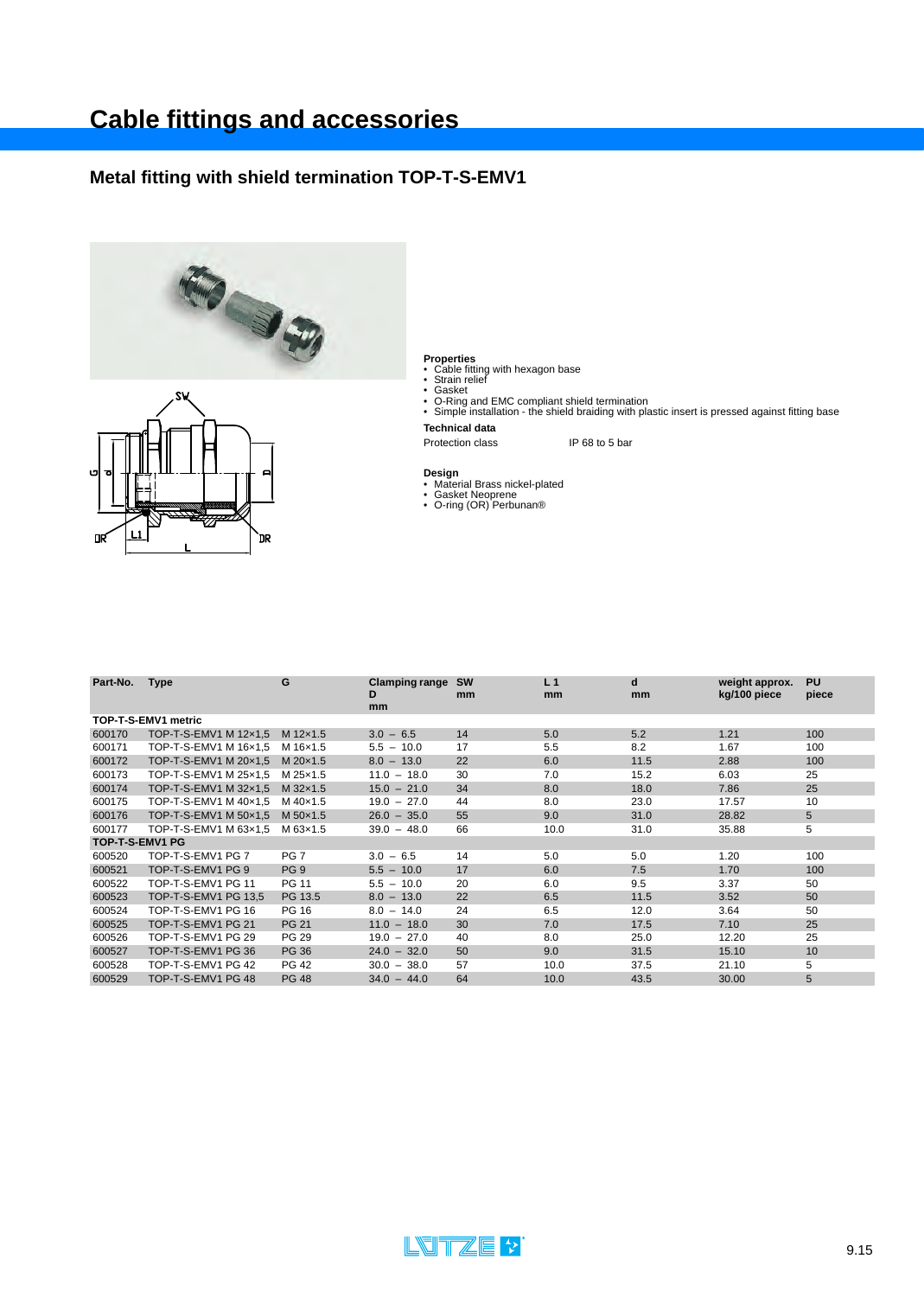### **Metal fitting with shield termination TOP-T-S-EMV1**





- 
- 

**Properties**<br>• Cable fitting with hexagon base<br>• Strain relief<br>• G-Ring and EMC compliant shield termination<br>• Simple installation - the shield braiding with plastic insert is pressed against fitting base<br>• Simple installa **Technical data**

- 
- **Design**<br>• Material Brass nickel-plated<br>• Gasket Neoprene<br>• O-ring (OR) Perbunan®

| Part-No.        | <b>Type</b>           | G               | <b>Clamping range</b><br>D<br>mm | <b>SW</b><br>mm | L <sub>1</sub><br>mm | d<br>mm | weight approx.<br>kg/100 piece | <b>PU</b><br>piece |
|-----------------|-----------------------|-----------------|----------------------------------|-----------------|----------------------|---------|--------------------------------|--------------------|
|                 | TOP-T-S-EMV1 metric   |                 |                                  |                 |                      |         |                                |                    |
| 600170          | TOP-T-S-EMV1 M 12x1.5 | M 12×1.5        | $3.0 - 6.5$                      | 14              | 5.0                  | 5.2     | 1.21                           | 100                |
| 600171          | TOP-T-S-EMV1 M 16x1,5 | M 16×1.5        | $5.5 - 10.0$                     | 17              | 5.5                  | 8.2     | 1.67                           | 100                |
| 600172          | TOP-T-S-EMV1 M 20x1.5 | M 20×1.5        | $8.0 - 13.0$                     | 22              | 6.0                  | 11.5    | 2.88                           | 100                |
| 600173          | TOP-T-S-EMV1 M 25x1,5 | M 25x1.5        | $11.0 - 18.0$                    | 30              | 7.0                  | 15.2    | 6.03                           | 25                 |
| 600174          | TOP-T-S-EMV1 M 32x1,5 | M 32×1.5        | $15.0 - 21.0$                    | 34              | 8.0                  | 18.0    | 7.86                           | 25                 |
| 600175          | TOP-T-S-EMV1 M 40x1.5 | M 40×1.5        | $19.0 - 27.0$                    | 44              | 8.0                  | 23.0    | 17.57                          | 10                 |
| 600176          | TOP-T-S-EMV1 M 50x1,5 | M 50×1.5        | $26.0 - 35.0$                    | 55              | 9.0                  | 31.0    | 28.82                          | 5                  |
| 600177          | TOP-T-S-EMV1 M 63x1.5 | M 63x1.5        | $39.0 - 48.0$                    | 66              | 10.0                 | 31.0    | 35.88                          | 5                  |
| TOP-T-S-EMV1 PG |                       |                 |                                  |                 |                      |         |                                |                    |
| 600520          | TOP-T-S-EMV1 PG 7     | PG <sub>7</sub> | $3.0 - 6.5$                      | 14              | 5.0                  | 5.0     | 1.20                           | 100                |
| 600521          | TOP-T-S-EMV1 PG 9     | PG <sub>9</sub> | $5.5 - 10.0$                     | 17              | 6.0                  | 7.5     | 1.70                           | 100                |
| 600522          | TOP-T-S-EMV1 PG 11    | <b>PG 11</b>    | $5.5 - 10.0$                     | 20              | 6.0                  | 9.5     | 3.37                           | 50                 |
| 600523          | TOP-T-S-EMV1 PG 13.5  | PG 13.5         | $8.0 - 13.0$                     | 22              | 6.5                  | 11.5    | 3.52                           | 50                 |
| 600524          | TOP-T-S-EMV1 PG 16    | PG 16           | $8.0 - 14.0$                     | 24              | 6.5                  | 12.0    | 3.64                           | 50                 |
| 600525          | TOP-T-S-EMV1 PG 21    | <b>PG 21</b>    | $11.0 - 18.0$                    | 30              | 7.0                  | 17.5    | 7.10                           | 25                 |
| 600526          | TOP-T-S-EMV1 PG 29    | <b>PG 29</b>    | $19.0 - 27.0$                    | 40              | 8.0                  | 25.0    | 12.20                          | 25                 |
| 600527          | TOP-T-S-EMV1 PG 36    | <b>PG 36</b>    | $24.0 - 32.0$                    | 50              | 9.0                  | 31.5    | 15.10                          | 10                 |
| 600528          | TOP-T-S-EMV1 PG 42    | <b>PG 42</b>    | $30.0 - 38.0$                    | 57              | 10.0                 | 37.5    | 21.10                          | 5                  |
| 600529          | TOP-T-S-EMV1 PG 48    | <b>PG 48</b>    | $34.0 - 44.0$                    | 64              | 10.0                 | 43.5    | 30.00                          | 5                  |

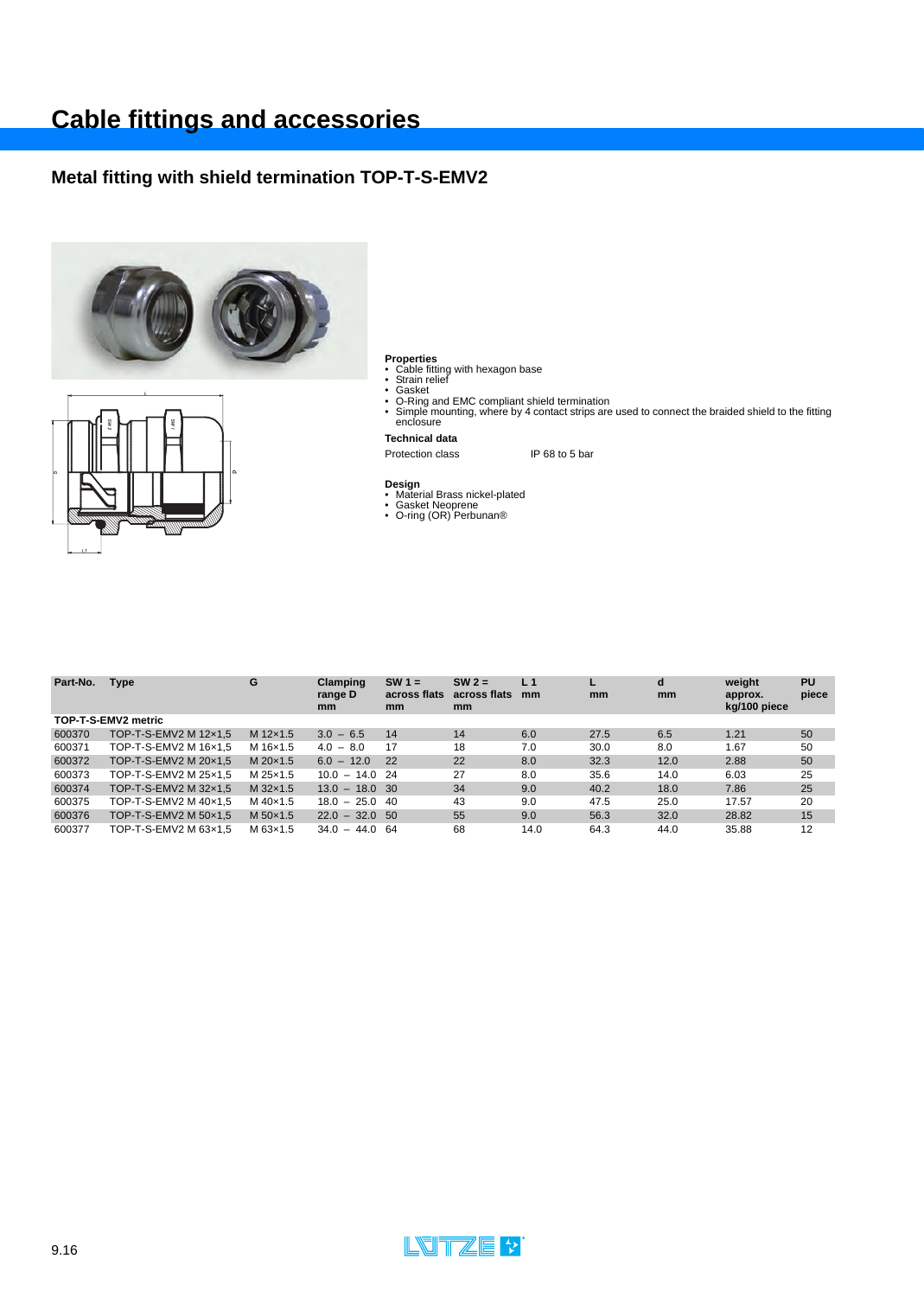### **Metal fitting with shield termination TOP-T-S-EMV2**





- 
- 
- 
- Properties<br>• Cable fitting with hexagon base<br>• Strain relief<br>• Gasket<br>• O-Ring and EMC compliant shield termination<br>• Simple mounting, where by 4 contact strips are used to connect the braided shield to the fitting<br>enclosu

**Technical data**

- **Design** Material Brass nickel-plated Gasket Neoprene O-ring (OR) Perbunan®
- 

| Part-No. | <b>Type</b>           | G        | Clamping<br>range D<br>mm | $SW 1 =$<br>across flats<br>mm | $SW2 =$<br>across flats<br>mm | L <sub>1</sub><br>mm | mm   | d<br>mm | weight<br>approx.<br>kg/100 piece | PU<br>piece |
|----------|-----------------------|----------|---------------------------|--------------------------------|-------------------------------|----------------------|------|---------|-----------------------------------|-------------|
|          | TOP-T-S-EMV2 metric   |          |                           |                                |                               |                      |      |         |                                   |             |
| 600370   | TOP-T-S-EMV2 M 12x1.5 | M 12x1.5 | $3.0 - 6.5$               | 14                             | 14                            | 6.0                  | 27.5 | 6.5     | 1.21                              | 50          |
| 600371   | TOP-T-S-EMV2 M 16x1.5 | M 16×1.5 | $4.0 - 8.0$               | 17                             | 18                            | 7.0                  | 30.0 | 8.0     | 1.67                              | 50          |
| 600372   | TOP-T-S-EMV2 M 20x1.5 | M 20×1.5 | $6.0 - 12.0$              | 22                             | 22                            | 8.0                  | 32.3 | 12.0    | 2.88                              | 50          |
| 600373   | TOP-T-S-EMV2 M 25x1.5 | M 25x1.5 | $10.0 - 14.0$ 24          |                                | 27                            | 8.0                  | 35.6 | 14.0    | 6.03                              | 25          |
| 600374   | TOP-T-S-EMV2 M 32x1.5 | M 32×1.5 | $13.0 - 18.0$ 30          |                                | 34                            | 9.0                  | 40.2 | 18.0    | 7.86                              | 25          |
| 600375   | TOP-T-S-EMV2 M 40×1.5 | M 40×1.5 | $18.0 - 25.0 40$          |                                | 43                            | 9.0                  | 47.5 | 25.0    | 17.57                             | 20          |
| 600376   | TOP-T-S-EMV2 M 50x1.5 | M 50×1.5 | $22.0 - 32.0$ 50          |                                | 55                            | 9.0                  | 56.3 | 32.0    | 28.82                             | 15          |
| 600377   | TOP-T-S-EMV2 M 63x1,5 | M 63x1.5 | $34.0 - 44.0$ 64          |                                | 68                            | 14.0                 | 64.3 | 44.0    | 35.88                             | 12          |

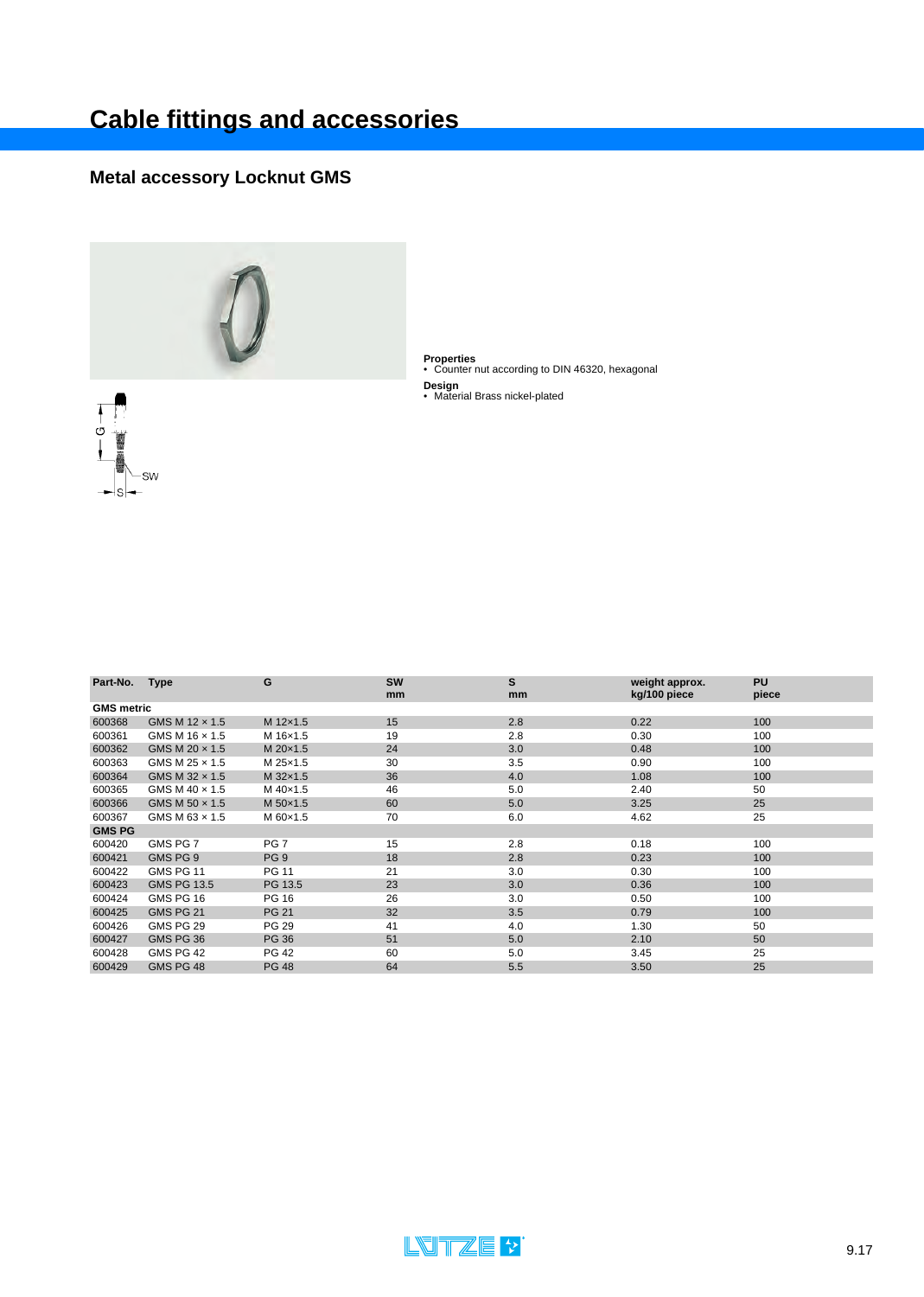## **Metal accessory Locknut GMS**

O

SW



**Properties** • Counter nut according to DIN 46320, hexagonal

**Design** • Material Brass nickel-plated

| Part-No.          | <b>Type</b>           | G               | <b>SW</b> | S   | weight approx. | <b>PU</b> |
|-------------------|-----------------------|-----------------|-----------|-----|----------------|-----------|
|                   |                       |                 | mm        | mm  | kg/100 piece   | piece     |
| <b>GMS</b> metric |                       |                 |           |     |                |           |
| 600368            | GMS M 12 x 1.5        | M 12x1.5        | 15        | 2.8 | 0.22           | 100       |
| 600361            | GMS M 16 x 1.5        | M 16x1.5        | 19        | 2.8 | 0.30           | 100       |
| 600362            | GMS M 20 x 1.5        | M 20×1.5        | 24        | 3.0 | 0.48           | 100       |
| 600363            | GMS M 25 x 1.5        | M 25x1.5        | 30        | 3.5 | 0.90           | 100       |
| 600364            | GMS M 32 x 1.5        | M 32×1.5        | 36        | 4.0 | 1.08           | 100       |
| 600365            | GMS M $40 \times 1.5$ | M 40×1.5        | 46        | 5.0 | 2.40           | 50        |
| 600366            | GMS M 50 x 1.5        | M 50×1.5        | 60        | 5.0 | 3.25           | 25        |
| 600367            | GMS M $63 \times 1.5$ | M 60×1.5        | 70        | 6.0 | 4.62           | 25        |
| <b>GMS PG</b>     |                       |                 |           |     |                |           |
| 600420            | GMS PG 7              | PG <sub>7</sub> | 15        | 2.8 | 0.18           | 100       |
| 600421            | GMS PG 9              | PG <sub>9</sub> | 18        | 2.8 | 0.23           | 100       |
| 600422            | GMS PG 11             | <b>PG 11</b>    | 21        | 3.0 | 0.30           | 100       |
| 600423            | <b>GMS PG 13.5</b>    | PG 13.5         | 23        | 3.0 | 0.36           | 100       |
| 600424            | GMS PG 16             | PG 16           | 26        | 3.0 | 0.50           | 100       |
| 600425            | GMS PG 21             | <b>PG 21</b>    | 32        | 3.5 | 0.79           | 100       |
| 600426            | GMS PG 29             | PG 29           | 41        | 4.0 | 1.30           | 50        |
| 600427            | GMS PG 36             | <b>PG 36</b>    | 51        | 5.0 | 2.10           | 50        |
| 600428            | GMS PG 42             | PG 42           | 60        | 5.0 | 3.45           | 25        |
| 600429            | GMS PG 48             | <b>PG 48</b>    | 64        | 5.5 | 3.50           | 25        |